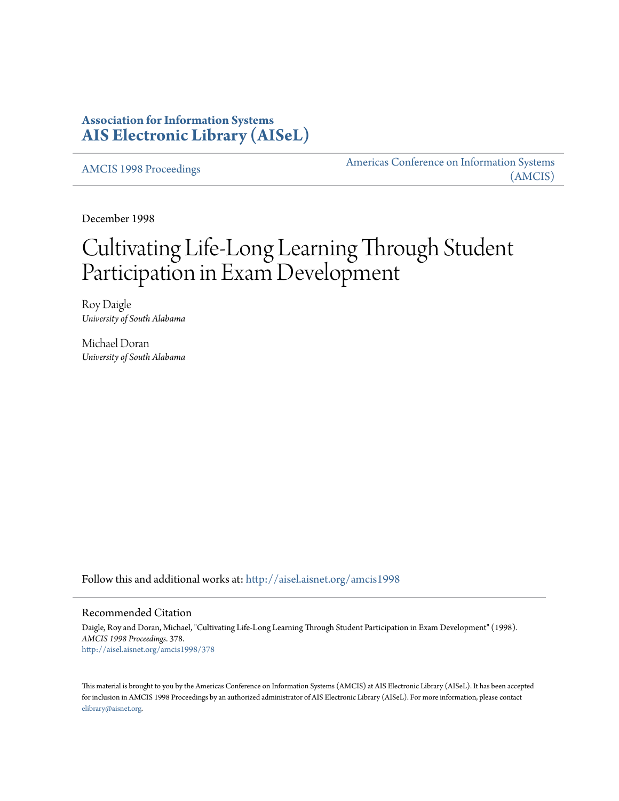## **Association for Information Systems [AIS Electronic Library \(AISeL\)](http://aisel.aisnet.org?utm_source=aisel.aisnet.org%2Famcis1998%2F378&utm_medium=PDF&utm_campaign=PDFCoverPages)**

[AMCIS 1998 Proceedings](http://aisel.aisnet.org/amcis1998?utm_source=aisel.aisnet.org%2Famcis1998%2F378&utm_medium=PDF&utm_campaign=PDFCoverPages)

[Americas Conference on Information Systems](http://aisel.aisnet.org/amcis?utm_source=aisel.aisnet.org%2Famcis1998%2F378&utm_medium=PDF&utm_campaign=PDFCoverPages) [\(AMCIS\)](http://aisel.aisnet.org/amcis?utm_source=aisel.aisnet.org%2Famcis1998%2F378&utm_medium=PDF&utm_campaign=PDFCoverPages)

December 1998

# Cultivating Life-Long Learning Through Student Participation in Exam Development

Roy Daigle *University of South Alabama*

Michael Doran *University of South Alabama*

Follow this and additional works at: [http://aisel.aisnet.org/amcis1998](http://aisel.aisnet.org/amcis1998?utm_source=aisel.aisnet.org%2Famcis1998%2F378&utm_medium=PDF&utm_campaign=PDFCoverPages)

#### Recommended Citation

Daigle, Roy and Doran, Michael, "Cultivating Life-Long Learning Through Student Participation in Exam Development" (1998). *AMCIS 1998 Proceedings*. 378. [http://aisel.aisnet.org/amcis1998/378](http://aisel.aisnet.org/amcis1998/378?utm_source=aisel.aisnet.org%2Famcis1998%2F378&utm_medium=PDF&utm_campaign=PDFCoverPages)

This material is brought to you by the Americas Conference on Information Systems (AMCIS) at AIS Electronic Library (AISeL). It has been accepted for inclusion in AMCIS 1998 Proceedings by an authorized administrator of AIS Electronic Library (AISeL). For more information, please contact [elibrary@aisnet.org.](mailto:elibrary@aisnet.org%3E)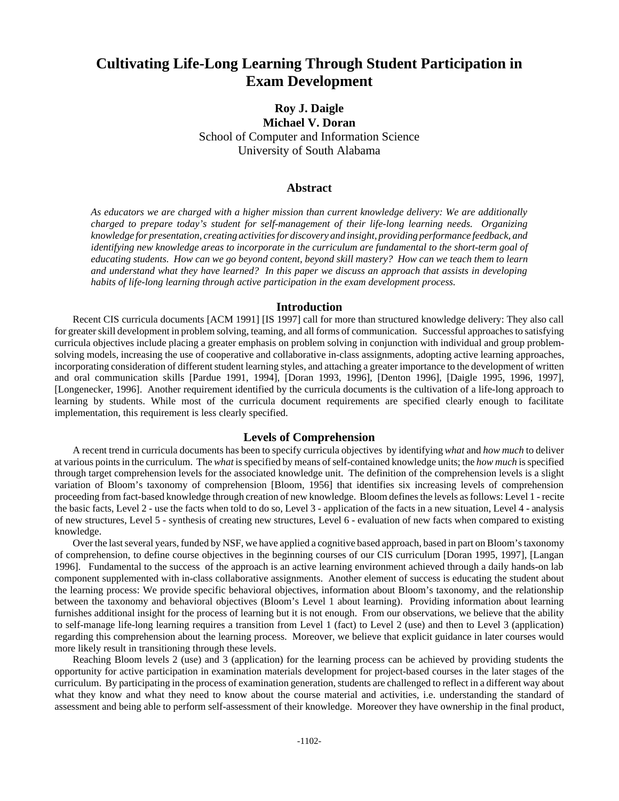## **Cultivating Life-Long Learning Through Student Participation in Exam Development**

### **Roy J. Daigle Michael V. Doran** School of Computer and Information Science University of South Alabama

#### **Abstract**

*As educators we are charged with a higher mission than current knowledge delivery: We are additionally charged to prepare today's student for self-management of their life-long learning needs. Organizing knowledge for presentation, creating activities for discovery and insight, providing performance feedback, and identifying new knowledge areas to incorporate in the curriculum are fundamental to the short-term goal of educating students. How can we go beyond content, beyond skill mastery? How can we teach them to learn and understand what they have learned? In this paper we discuss an approach that assists in developing habits of life-long learning through active participation in the exam development process.*

#### **Introduction**

Recent CIS curricula documents [ACM 1991] [IS 1997] call for more than structured knowledge delivery: They also call for greater skill development in problem solving, teaming, and all forms of communication. Successful approaches to satisfying curricula objectives include placing a greater emphasis on problem solving in conjunction with individual and group problemsolving models, increasing the use of cooperative and collaborative in-class assignments, adopting active learning approaches, incorporating consideration of different student learning styles, and attaching a greater importance to the development of written and oral communication skills [Pardue 1991, 1994], [Doran 1993, 1996], [Denton 1996], [Daigle 1995, 1996, 1997], [Longenecker, 1996]. Another requirement identified by the curricula documents is the cultivation of a life-long approach to learning by students. While most of the curricula document requirements are specified clearly enough to facilitate implementation, this requirement is less clearly specified.

#### **Levels of Comprehension**

A recent trend in curricula documents has been to specify curricula objectives by identifying *what* and *how much* to deliver at various points in the curriculum. The *what* is specified by means of self-contained knowledge units; the *how much* is specified through target comprehension levels for the associated knowledge unit. The definition of the comprehension levels is a slight variation of Bloom's taxonomy of comprehension [Bloom, 1956] that identifies six increasing levels of comprehension proceeding from fact-based knowledge through creation of new knowledge. Bloom defines the levels as follows: Level 1 - recite the basic facts, Level 2 - use the facts when told to do so, Level 3 - application of the facts in a new situation, Level 4 - analysis of new structures, Level 5 - synthesis of creating new structures, Level 6 - evaluation of new facts when compared to existing knowledge.

Over the last several years, funded by NSF, we have applied a cognitive based approach, based in part on Bloom's taxonomy of comprehension, to define course objectives in the beginning courses of our CIS curriculum [Doran 1995, 1997], [Langan 1996]. Fundamental to the success of the approach is an active learning environment achieved through a daily hands-on lab component supplemented with in-class collaborative assignments. Another element of success is educating the student about the learning process: We provide specific behavioral objectives, information about Bloom's taxonomy, and the relationship between the taxonomy and behavioral objectives (Bloom's Level 1 about learning). Providing information about learning furnishes additional insight for the process of learning but it is not enough. From our observations, we believe that the ability to self-manage life-long learning requires a transition from Level 1 (fact) to Level 2 (use) and then to Level 3 (application) regarding this comprehension about the learning process. Moreover, we believe that explicit guidance in later courses would more likely result in transitioning through these levels.

Reaching Bloom levels 2 (use) and 3 (application) for the learning process can be achieved by providing students the opportunity for active participation in examination materials development for project-based courses in the later stages of the curriculum. By participating in the process of examination generation, students are challenged to reflect in a different way about what they know and what they need to know about the course material and activities, i.e. understanding the standard of assessment and being able to perform self-assessment of their knowledge. Moreover they have ownership in the final product,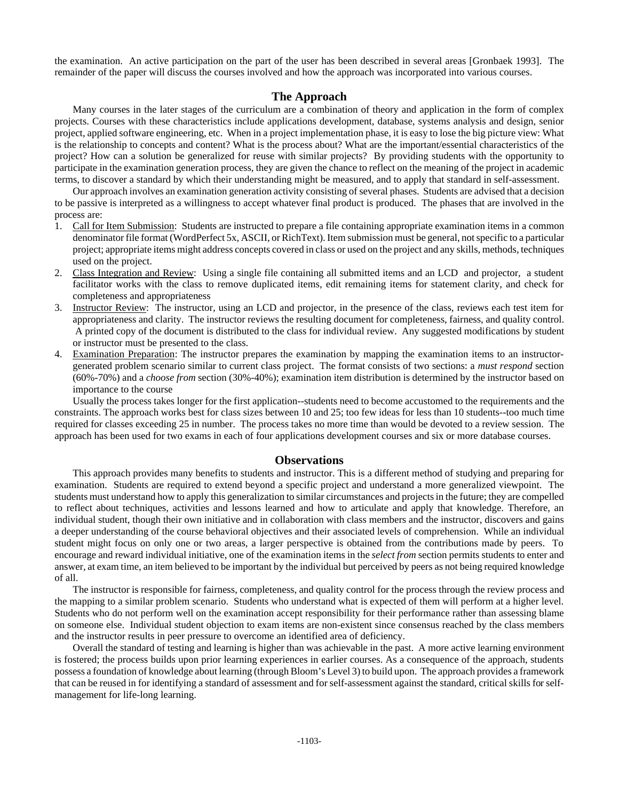the examination. An active participation on the part of the user has been described in several areas [Gronbaek 1993]. The remainder of the paper will discuss the courses involved and how the approach was incorporated into various courses.

#### **The Approach**

Many courses in the later stages of the curriculum are a combination of theory and application in the form of complex projects. Courses with these characteristics include applications development, database, systems analysis and design, senior project, applied software engineering, etc. When in a project implementation phase, it is easy to lose the big picture view: What is the relationship to concepts and content? What is the process about? What are the important/essential characteristics of the project? How can a solution be generalized for reuse with similar projects? By providing students with the opportunity to participate in the examination generation process, they are given the chance to reflect on the meaning of the project in academic terms, to discover a standard by which their understanding might be measured, and to apply that standard in self-assessment.

Our approach involves an examination generation activity consisting of several phases. Students are advised that a decision to be passive is interpreted as a willingness to accept whatever final product is produced. The phases that are involved in the process are:

- 1. Call for Item Submission: Students are instructed to prepare a file containing appropriate examination items in a common denominator file format (WordPerfect 5x, ASCII, or RichText). Item submission must be general, not specific to a particular project; appropriate items might address concepts covered in class or used on the project and any skills, methods, techniques used on the project.
- 2. Class Integration and Review: Using a single file containing all submitted items and an LCD and projector, a student facilitator works with the class to remove duplicated items, edit remaining items for statement clarity, and check for completeness and appropriateness
- 3. Instructor Review: The instructor, using an LCD and projector, in the presence of the class, reviews each test item for appropriateness and clarity. The instructor reviews the resulting document for completeness, fairness, and quality control. A printed copy of the document is distributed to the class for individual review. Any suggested modifications by student or instructor must be presented to the class.
- 4. Examination Preparation: The instructor prepares the examination by mapping the examination items to an instructorgenerated problem scenario similar to current class project. The format consists of two sections: a *must respond* section (60%-70%) and a *choose from* section (30%-40%); examination item distribution is determined by the instructor based on importance to the course

Usually the process takes longer for the first application--students need to become accustomed to the requirements and the constraints. The approach works best for class sizes between 10 and 25; too few ideas for less than 10 students--too much time required for classes exceeding 25 in number. The process takes no more time than would be devoted to a review session. The approach has been used for two exams in each of four applications development courses and six or more database courses.

#### **Observations**

This approach provides many benefits to students and instructor. This is a different method of studying and preparing for examination. Students are required to extend beyond a specific project and understand a more generalized viewpoint. The students must understand how to apply this generalization to similar circumstances and projects in the future; they are compelled to reflect about techniques, activities and lessons learned and how to articulate and apply that knowledge. Therefore, an individual student, though their own initiative and in collaboration with class members and the instructor, discovers and gains a deeper understanding of the course behavioral objectives and their associated levels of comprehension. While an individual student might focus on only one or two areas, a larger perspective is obtained from the contributions made by peers. To encourage and reward individual initiative, one of the examination items in the *select from* section permits students to enter and answer, at exam time, an item believed to be important by the individual but perceived by peers as not being required knowledge of all.

The instructor is responsible for fairness, completeness, and quality control for the process through the review process and the mapping to a similar problem scenario. Students who understand what is expected of them will perform at a higher level. Students who do not perform well on the examination accept responsibility for their performance rather than assessing blame on someone else. Individual student objection to exam items are non-existent since consensus reached by the class members and the instructor results in peer pressure to overcome an identified area of deficiency.

Overall the standard of testing and learning is higher than was achievable in the past. A more active learning environment is fostered; the process builds upon prior learning experiences in earlier courses. As a consequence of the approach, students possess a foundation of knowledge about learning (through Bloom's Level 3) to build upon. The approach provides a framework that can be reused in for identifying a standard of assessment and for self-assessment against the standard, critical skills for selfmanagement for life-long learning.